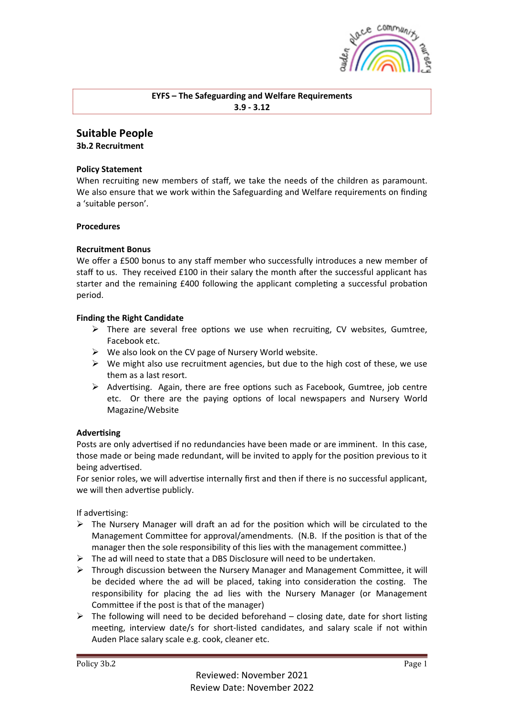

# **EYFS** – The Safeguarding and Welfare Requirements **3.9 - 3.12**

# **Suitable People**

**3b.2 Recruitment**

## **Policy Statement**

When recruiting new members of staff, we take the needs of the children as paramount. We also ensure that we work within the Safeguarding and Welfare requirements on finding a 'suitable person'.

## **Procedures**

# **Recruitment Bonus**

We offer a £500 bonus to any staff member who successfully introduces a new member of staff to us. They received £100 in their salary the month after the successful applicant has starter and the remaining £400 following the applicant completing a successful probation period.

## **Finding the Right Candidate**

- $\triangleright$  There are several free options we use when recruiting, CV websites, Gumtree, Facebook etc.
- $\triangleright$  We also look on the CV page of Nursery World website.
- $\triangleright$  We might also use recruitment agencies, but due to the high cost of these, we use them as a last resort.
- $\triangleright$  Advertising. Again, there are free options such as Facebook, Gumtree, job centre etc. Or there are the paying options of local newspapers and Nursery World Magazine/Website

#### **Advertising**

Posts are only advertised if no redundancies have been made or are imminent. In this case, those made or being made redundant, will be invited to apply for the position previous to it being advertised.

For senior roles, we will advertise internally first and then if there is no successful applicant, we will then advertise publicly.

If advertising:

- $\triangleright$  The Nursery Manager will draft an ad for the position which will be circulated to the Management Committee for approval/amendments. (N.B. If the position is that of the manager then the sole responsibility of this lies with the management committee.)
- $\triangleright$  The ad will need to state that a DBS Disclosure will need to be undertaken.
- $\triangleright$  Through discussion between the Nursery Manager and Management Committee, it will be decided where the ad will be placed, taking into consideration the costing. The responsibility for placing the ad lies with the Nursery Manager (or Management Committee if the post is that of the manager)
- $\triangleright$  The following will need to be decided beforehand closing date, date for short listing meeting, interview date/s for short-listed candidates, and salary scale if not within Auden Place salary scale e.g. cook, cleaner etc.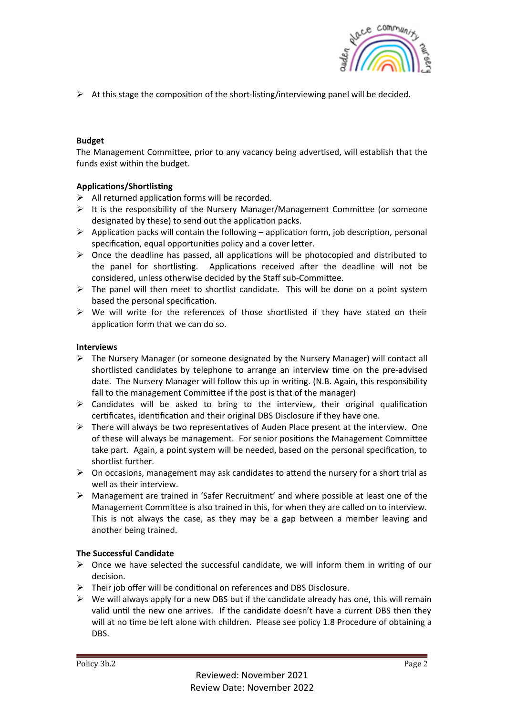

 $\triangleright$  At this stage the composition of the short-listing/interviewing panel will be decided.

# **Budget**

The Management Committee, prior to any vacancy being advertised, will establish that the funds exist within the budget.

# **Applications/Shortlisting**

- $\triangleright$  All returned application forms will be recorded.
- $\triangleright$  It is the responsibility of the Nursery Manager/Management Committee (or someone designated by these) to send out the application packs.
- $\triangleright$  Application packs will contain the following application form, job description, personal specification, equal opportunities policy and a cover letter.
- $\triangleright$  Once the deadline has passed, all applications will be photocopied and distributed to the panel for shortlisting. Applications received after the deadline will not be considered, unless otherwise decided by the Staff sub-Committee.
- $\triangleright$  The panel will then meet to shortlist candidate. This will be done on a point system based the personal specification.
- $\triangleright$  We will write for the references of those shortlisted if they have stated on their application form that we can do so.

# **Interviews**

- $\triangleright$  The Nursery Manager (or someone designated by the Nursery Manager) will contact all shortlisted candidates by telephone to arrange an interview time on the pre-advised date. The Nursery Manager will follow this up in writing. (N.B. Again, this responsibility fall to the management Committee if the post is that of the manager)
- $\triangleright$  Candidates will be asked to bring to the interview, their original qualification certificates, identification and their original DBS Disclosure if they have one.
- $\triangleright$  There will always be two representatives of Auden Place present at the interview. One of these will always be management. For senior positions the Management Committee take part. Again, a point system will be needed, based on the personal specification, to shortlist further.
- $\triangleright$  On occasions, management may ask candidates to attend the nursery for a short trial as well as their interview.
- $\triangleright$  Management are trained in 'Safer Recruitment' and where possible at least one of the Management Committee is also trained in this, for when they are called on to interview. This is not always the case, as they may be a gap between a member leaving and another being trained.

# **The Successful Candidate**

- $\triangleright$  Once we have selected the successful candidate, we will inform them in writing of our decision.
- $\triangleright$  Their job offer will be conditional on references and DBS Disclosure.
- $\triangleright$  We will always apply for a new DBS but if the candidate already has one, this will remain valid until the new one arrives. If the candidate doesn't have a current DBS then they will at no time be left alone with children. Please see policy 1.8 Procedure of obtaining a DBS.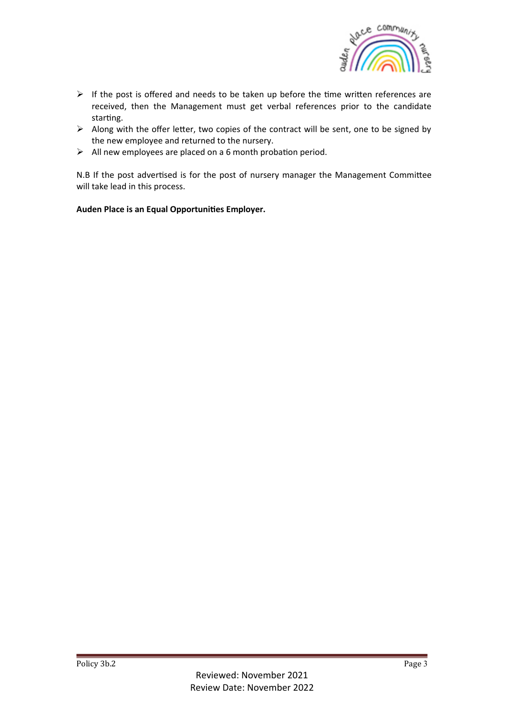

- $\triangleright$  If the post is offered and needs to be taken up before the time written references are received, then the Management must get verbal references prior to the candidate starting.
- $\triangleright$  Along with the offer letter, two copies of the contract will be sent, one to be signed by the new employee and returned to the nursery.
- $\triangleright$  All new employees are placed on a 6 month probation period.

N.B If the post advertised is for the post of nursery manager the Management Committee will take lead in this process.

Auden Place is an Equal Opportunities Employer.